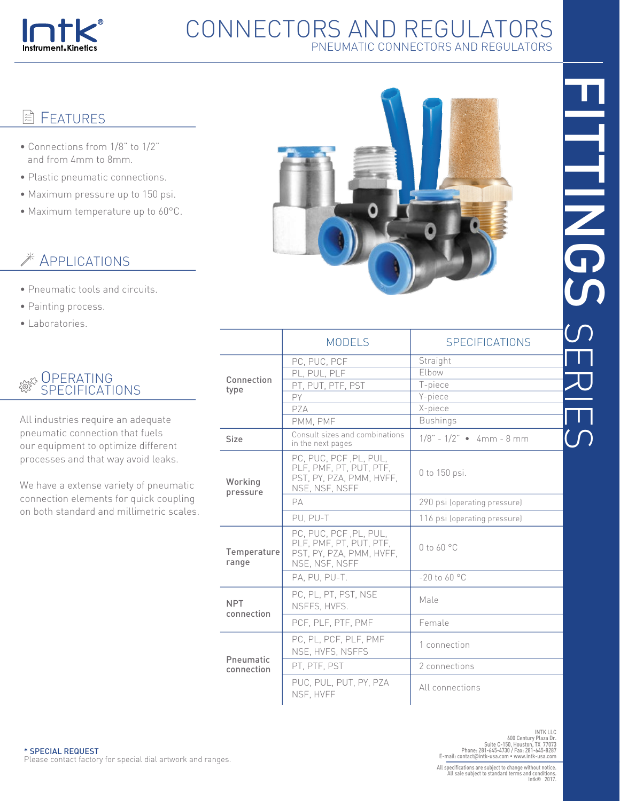

# CONNECTORS AND REGULATORS PNEUMATIC CONNECTORS AND REGULATORS

#### 眉 **FEATURES**

- Connections from 1/8" to 1/2" and from 4mm to 8mm.
- Plastic pneumatic connections.
- Maximum pressure up to 150 psi.
- Maximum temperature up to 60°C.

# **EXAMPLICATIONS**

- Pneumatic tools and circuits.
- Painting process.
- Laboratories.

#### **OPERATING** दूळ दुरु<br>इल्ले SPECIFICATIONS

All industries require an adequate pneumatic connection that fuels our equipment to optimize different processes and that way avoid leaks.

We have a extense variety of pneumatic connection elements for quick coupling on both standard and millimetric scales.



|                          | <b>MODELS</b>                                                                                   | <b>SPECIFICATIONS</b>          |
|--------------------------|-------------------------------------------------------------------------------------------------|--------------------------------|
|                          | PC, PUC, PCF<br>PL, PUL, PLF                                                                    | Straight<br>Elbow              |
| Connection               | PT, PUT, PTF, PST                                                                               | T-piece                        |
| type                     | PY                                                                                              | Y-piece                        |
|                          | PZA                                                                                             | X-piece                        |
|                          | PMM, PMF                                                                                        | <b>Bushings</b>                |
| <b>Size</b>              | Consult sizes and combinations<br>in the next pages                                             | $1/8$ " - $1/2$ " • 4mm - 8 mm |
| Working<br>pressure      | PC, PUC, PCF, PL, PUL,<br>PLF, PMF, PT, PUT, PTF,<br>PST, PY, PZA, PMM, HVFF,<br>NSE, NSF, NSFF | 0 to 150 psi.                  |
|                          | PA                                                                                              | 290 psi (operating pressure)   |
|                          | PU. PU-T                                                                                        | 116 psi (operating pressure)   |
| Temperature<br>range     | PC, PUC, PCF, PL, PUL,<br>PLF, PMF, PT, PUT, PTF,<br>PST, PY, PZA, PMM, HVFF,<br>NSE, NSF, NSFF | $0$ to 60 °C                   |
|                          | PA. PU. PU-T.                                                                                   | $-20$ to 60 °C                 |
| <b>NPT</b><br>connection | PC, PL, PT, PST, NSE<br>NSFFS, HVFS.                                                            | Male                           |
|                          | PCF, PLF, PTF, PMF                                                                              | Female                         |
|                          | PC, PL, PCF, PLF, PMF<br>NSE, HVFS, NSFFS                                                       | 1 connection                   |
| Pneumatic<br>connection  | PT, PTF, PST                                                                                    | 2 connections                  |
|                          | PUC. PUL. PUT. PY. PZA<br>NSF. HVFF                                                             | All connections                |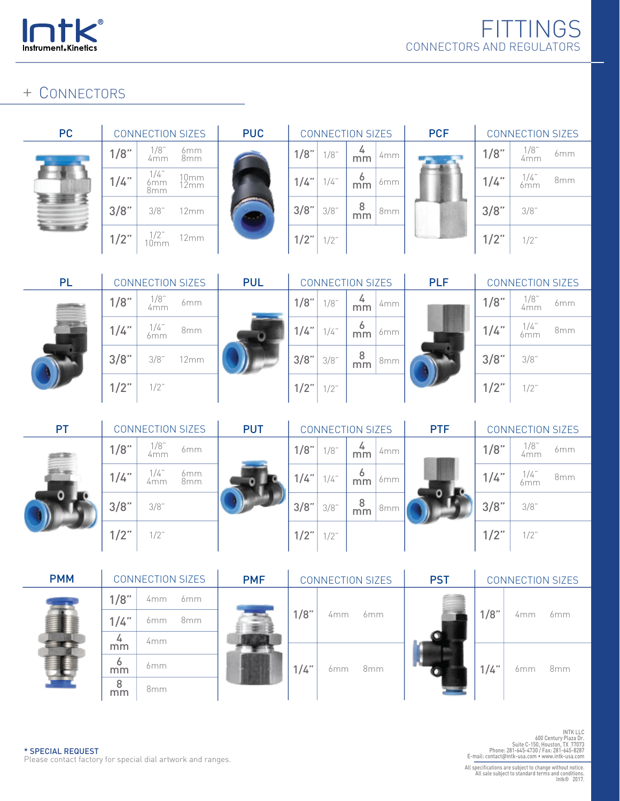

### + CONNECTORS

×

| <b>CONNECTION SIZES</b> |                                   |                        |  |  |  |  |  |
|-------------------------|-----------------------------------|------------------------|--|--|--|--|--|
| 1/8"                    | $1/8$ "<br>4mm                    | 6mm<br>8 <sub>mm</sub> |  |  |  |  |  |
| 1/4"                    | $1/4$ "<br>6mm<br>8 <sub>mm</sub> | 10mm<br>12mm           |  |  |  |  |  |
| 3/8"                    | $3/8$ "                           | 12mm                   |  |  |  |  |  |
| 1/2"                    | $\frac{1}{2}$                     | 12mm                   |  |  |  |  |  |

 $\mathbf{r}$ 

| <b>PC</b> |         | <b>CONNECTION SIZES</b>   |                  | <b>PUC</b> | <b>CONNECTION SIZES</b> | <b>PCF</b> |         |                 |  |
|-----------|---------|---------------------------|------------------|------------|-------------------------|------------|---------|-----------------|--|
|           | 1/8"    | $\frac{1/8}{4 \text{mm}}$ | 6mm<br>8mm       |            | $1/8$ "                 | 1/8"       | 4<br>mm | 4mm             |  |
|           | 1/4"    | 1/4"<br>6mm<br>8mm        | $10mm$<br>$12mm$ |            | 1/4"                    | $1/4$ "    | 6<br>mm | 6mm             |  |
|           | 3/8"    | 3/8"                      | 12mm             |            | 3/8"                    | 3/8"       | 8<br>mm | 8 <sub>mm</sub> |  |
|           | $1/2$ " | $\frac{1}{2}$             | 12mm             |            | $1/2$ "                 | $1/2$ "    |         |                 |  |



| <b>CONNECTION SIZES</b> |               |                 |  |  |  |  |  |  |
|-------------------------|---------------|-----------------|--|--|--|--|--|--|
| 1/8"                    | 1/8"<br>4mm   | 6mm             |  |  |  |  |  |  |
| 1/4"                    | $\frac{1}{4}$ | 8 <sub>mm</sub> |  |  |  |  |  |  |
| 3/8"                    | 3/8"          |                 |  |  |  |  |  |  |
| 1/2"                    | $1/2$ "       |                 |  |  |  |  |  |  |





|  | <b>CONNECTION SIZES</b> |         |                |                 |  |  |  |  |
|--|-------------------------|---------|----------------|-----------------|--|--|--|--|
|  | 1/8"                    | $1/8$ " | $\frac{4}{mm}$ | 4mm             |  |  |  |  |
|  | $1/4"$ 1/4"             |         | 6<br>mm        | 6mm             |  |  |  |  |
|  | 3/8"                    | 3/8"    | 8<br>mm        | 8 <sub>mm</sub> |  |  |  |  |
|  | $1/2"$ 1/2"             |         |                |                 |  |  |  |  |

|      | CONNECTION SIZES |                 |
|------|------------------|-----------------|
| 1/8" | 1/8"<br>4mm      | 6 <sub>mm</sub> |
| 1/4" | $\frac{1}{4}$    | 8 <sub>mm</sub> |
| 3/8" | 3/8"             |                 |
| 1/2" | $1/2$ "          |                 |

| <b>PT</b> |         | <b>CONNECTION SIZES</b> |            | <b>PUT</b> | <b>CONNECTION SIZES</b> |         |         |     | <b>PTF</b> |         | <b>CONNECTION SIZES</b> |     |
|-----------|---------|-------------------------|------------|------------|-------------------------|---------|---------|-----|------------|---------|-------------------------|-----|
| se        | 1/8"    | $1/8$ "<br>4mm          | 6mm        |            | 1/8"                    | 1/8"    | 4<br>mm | 4mm |            | 1/8"    | $1/8$ "<br>4mm          | 6mm |
|           | 1/4"    | 1/4"<br>4mm             | 6mm<br>8mm |            | 1/4"                    | 1/4"    | 6<br>mm | 6mm |            | 1/4"    | 1/4"<br>6mm             | 8mm |
|           | 3/8"    | 3/8"                    |            |            | 3/8"                    | 3/8"    | 8<br>mm | 8mm |            | 3/8"    | 3/8"                    |     |
|           | $1/2$ " | $1/2$ "                 |            |            | $1/2$ "                 | $1/2$ " |         |     |            | $1/2$ " | $1/2$ "                 |     |

| <b>PMM</b> |                    | <b>CONNECTION SIZES</b> |     | <b>PMF</b> | <b>CONNECTION SIZES</b> |     |                 | <b>PST</b> |      |     |                 |  | <b>CONNECTION SIZES</b> |  |
|------------|--------------------|-------------------------|-----|------------|-------------------------|-----|-----------------|------------|------|-----|-----------------|--|-------------------------|--|
|            | 1/8"               | 4mm                     | 6mm |            |                         |     |                 |            |      |     |                 |  |                         |  |
|            | $1/4$ "            | 6mm                     | 8mm |            | 1/8"                    | 4mm | 6mm             |            | 1/8" | 4mm | 6mm             |  |                         |  |
|            | 4<br>mm            | 4mm                     |     |            |                         |     |                 |            |      |     |                 |  |                         |  |
|            | <sub>o</sub><br>mm | 6mm                     |     |            | $1/4$ "                 | 6mm | 8 <sub>mm</sub> |            | 1/4" | 6mm | 8 <sub>mm</sub> |  |                         |  |
|            | 8<br>mm            | 8 <sub>mm</sub>         |     |            |                         |     |                 |            |      |     |                 |  |                         |  |

INTK LLC<br>IOO Century Plaza Dr.<br>Suite C-150, Houston, TX 77073<br>Phone: 281-645-4730 / Fax: 281-645-8287<br>E-mail: contact@intk-usa.com • www.intk-usa.com

\* SPECIAL REQUEST Please contact factory for special dial artwork and ranges.

All specifications are subject to change without notice. All sale subject to standard terms and conditions. Intk® 2017.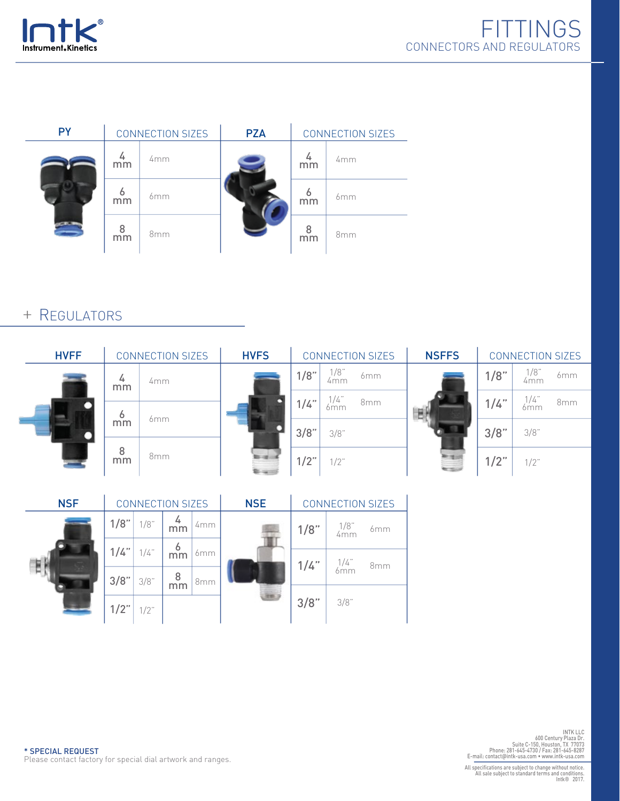



| <b>PY</b> |         | <b>CONNECTION SIZES</b> | <b>PZA</b> | <b>CONNECTION SIZES</b> |     |  |  |
|-----------|---------|-------------------------|------------|-------------------------|-----|--|--|
| 201       | mm      | 4mm                     |            | mm                      | 4mm |  |  |
|           | O<br>mm | 6 <sub>mm</sub>         |            | ó<br>mm                 | 6mm |  |  |
|           | 8<br>mm | 8mm                     |            | 8<br>mm                 | 8mm |  |  |

### + REGULATORS

| <b>HVFF</b> | <b>CONNECTION SIZES</b> |                 | <b>HVFS</b> | <b>CONNECTION SIZES</b> |             | <b>NSFFS</b>    | <b>CONNECTION SIZES</b> |         |             |                 |
|-------------|-------------------------|-----------------|-------------|-------------------------|-------------|-----------------|-------------------------|---------|-------------|-----------------|
|             | 4<br>mm                 | 4mm             | о           | 1/8"                    | 1/8"<br>4mm | 6mm             | نب                      | 1/8"    | 1/8"<br>4mm | 6mm             |
|             | 6                       |                 |             | 1/4"                    | 1/4"<br>6mm | 8 <sub>mm</sub> |                         | 1/4"    | 1/4"<br>6mm | 8 <sub>mm</sub> |
|             | mm                      | 6mm             |             | 3/8"                    | 3/8"        |                 |                         | 3/8"    | 3/8"        |                 |
|             | 8<br>mm                 | 8 <sub>mm</sub> |             | $1/2$ "                 | $1/2$ "     |                 |                         | $1/2$ " | $1/2$ "     |                 |

| <b>NSF</b> | <b>CONNECTION SIZES</b> |         |                      | <b>NSE</b>      | <b>CONNECTION SIZES</b> |         |                      |  |
|------------|-------------------------|---------|----------------------|-----------------|-------------------------|---------|----------------------|--|
| Е          | 1/8"                    | 1/8"    | 4<br>mm              | 4mm             |                         | 1/8"    | 1/8"<br>4mm<br>6mm   |  |
|            | 1/4"                    | $1/4$ " | 6<br>mm              | 6mm             |                         | $1/4$ " | $\frac{1}{4}$<br>8mm |  |
|            | 3/8"                    | 3/8"    | 8<br>$\overline{mm}$ | 8 <sub>mm</sub> |                         |         |                      |  |
|            | $1/2$ "                 | $1/2$ " |                      |                 |                         | 3/8"    | 3/8"                 |  |